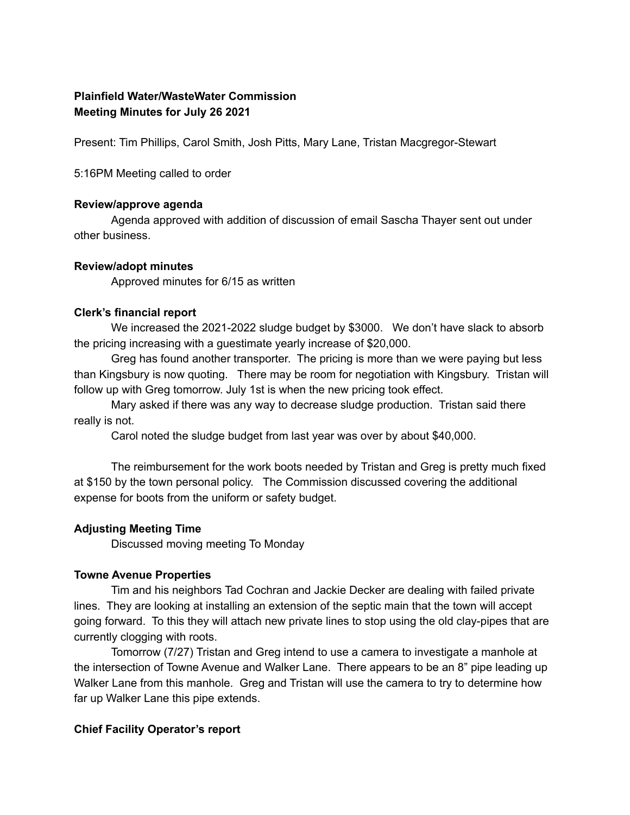# **Plainfield Water/WasteWater Commission Meeting Minutes for July 26 2021**

Present: Tim Phillips, Carol Smith, Josh Pitts, Mary Lane, Tristan Macgregor-Stewart

5:16PM Meeting called to order

#### **Review/approve agenda**

Agenda approved with addition of discussion of email Sascha Thayer sent out under other business.

## **Review/adopt minutes**

Approved minutes for 6/15 as written

## **Clerk's financial report**

We increased the 2021-2022 sludge budget by \$3000. We don't have slack to absorb the pricing increasing with a guestimate yearly increase of \$20,000.

Greg has found another transporter. The pricing is more than we were paying but less than Kingsbury is now quoting. There may be room for negotiation with Kingsbury. Tristan will follow up with Greg tomorrow. July 1st is when the new pricing took effect.

Mary asked if there was any way to decrease sludge production. Tristan said there really is not.

Carol noted the sludge budget from last year was over by about \$40,000.

The reimbursement for the work boots needed by Tristan and Greg is pretty much fixed at \$150 by the town personal policy. The Commission discussed covering the additional expense for boots from the uniform or safety budget.

## **Adjusting Meeting Time**

Discussed moving meeting To Monday

## **Towne Avenue Properties**

Tim and his neighbors Tad Cochran and Jackie Decker are dealing with failed private lines. They are looking at installing an extension of the septic main that the town will accept going forward. To this they will attach new private lines to stop using the old clay-pipes that are currently clogging with roots.

Tomorrow (7/27) Tristan and Greg intend to use a camera to investigate a manhole at the intersection of Towne Avenue and Walker Lane. There appears to be an 8" pipe leading up Walker Lane from this manhole. Greg and Tristan will use the camera to try to determine how far up Walker Lane this pipe extends.

## **Chief Facility Operator's report**